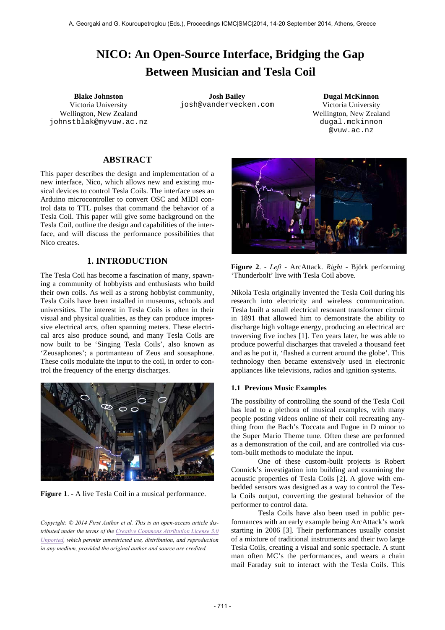# **NICO: An Open-Source Interface, Bridging the Gap Between Musician and Tesla Coil**

Victoria University Wellington, New Zealand johnstblak@myvuw.ac.nz

**Blake Johnston Josh Bailey Dugal McKinnon** josh@vandervecken.com Victoria University

Wellington, New Zealand dugal.mckinnon @vuw.ac.nz

# **ABSTRACT**

This paper describes the design and implementation of a new interface, Nico, which allows new and existing musical devices to control Tesla Coils. The interface uses an Arduino microcontroller to convert OSC and MIDI control data to TTL pulses that command the behavior of a Tesla Coil. This paper will give some background on the Tesla Coil, outline the design and capabilities of the interface, and will discuss the performance possibilities that Nico creates.

# **1. INTRODUCTION**

The Tesla Coil has become a fascination of many, spawning a community of hobbyists and enthusiasts who build their own coils. As well as a strong hobbyist community, Tesla Coils have been installed in museums, schools and universities. The interest in Tesla Coils is often in their visual and physical qualities, as they can produce impressive electrical arcs, often spanning meters. These electrical arcs also produce sound, and many Tesla Coils are now built to be 'Singing Tesla Coils', also known as 'Zeusaphones'; a portmanteau of Zeus and sousaphone. These coils modulate the input to the coil, in order to control the frequency of the energy discharges.



**Figure 1**. - A live Tesla Coil in a musical performance.

*Copyright: © 2014 First Author et al. This is an open-access article distributed under the terms of the Creative Commons Attribution License 3.0 Unported, which permits unrestricted use, distribution, and reproduction in any medium, provided the original author and source are credited.*



**Figure 2**. - *Left* - ArcAttack. *Right* - Björk performing 'Thunderbolt' live with Tesla Coil above.

Nikola Tesla originally invented the Tesla Coil during his research into electricity and wireless communication. Tesla built a small electrical resonant transformer circuit in 1891 that allowed him to demonstrate the ability to discharge high voltage energy, producing an electrical arc traversing five inches [1]. Ten years later, he was able to produce powerful discharges that traveled a thousand feet and as he put it, 'flashed a current around the globe'. This technology then became extensively used in electronic appliances like televisions, radios and ignition systems.

# **1.1 Previous Music Examples**

The possibility of controlling the sound of the Tesla Coil has lead to a plethora of musical examples, with many people posting videos online of their coil recreating anything from the Bach's Toccata and Fugue in D minor to the Super Mario Theme tune. Often these are performed as a demonstration of the coil, and are controlled via custom-built methods to modulate the input.

One of these custom-built projects is Robert Connick's investigation into building and examining the acoustic properties of Tesla Coils [2]. A glove with embedded sensors was designed as a way to control the Tesla Coils output, converting the gestural behavior of the performer to control data.

Tesla Coils have also been used in public performances with an early example being ArcAttack's work starting in 2006 [3]. Their performances usually consist of a mixture of traditional instruments and their two large Tesla Coils, creating a visual and sonic spectacle. A stunt man often MC's the performances, and wears a chain mail Faraday suit to interact with the Tesla Coils. This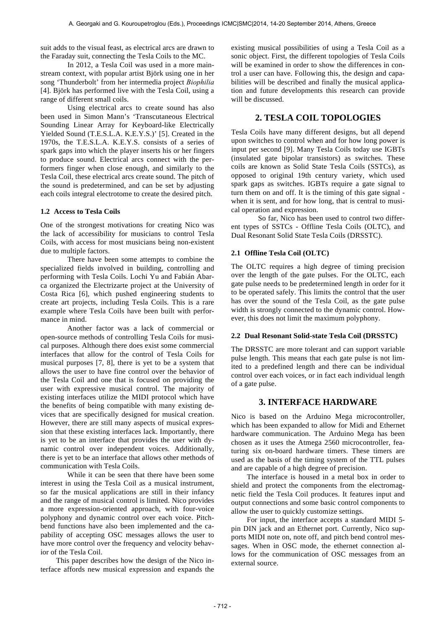suit adds to the visual feast, as electrical arcs are drawn to the Faraday suit, connecting the Tesla Coils to the MC.

In 2012, a Tesla Coil was used in a more mainstream context, with popular artist Björk using one in her song 'Thunderbolt' from her intermedia project *Biophilia* [4]. Björk has performed live with the Tesla Coil, using a range of different small coils.

Using electrical arcs to create sound has also been used in Simon Mann's 'Transcutaneous Electrical Sounding Linear Array for Keyboard-like Electrically Yielded Sound (T.E.S.L.A. K.E.Y.S.)' [5]. Created in the 1970s, the T.E.S.L.A. K.E.Y.S. consists of a series of spark gaps into which the player inserts his or her fingers to produce sound. Electrical arcs connect with the performers finger when close enough, and similarly to the Tesla Coil, these electrical arcs create sound. The pitch of the sound is predetermined, and can be set by adjusting each coils integral electrotome to create the desired pitch.

#### **1.2 Access to Tesla Coils**

One of the strongest motivations for creating Nico was the lack of accessibility for musicians to control Tesla Coils, with access for most musicians being non-existent due to multiple factors.

There have been some attempts to combine the specialized fields involved in building, controlling and performing with Tesla Coils. Lochi Yu and Fabián Abarca organized the Electrizarte project at the University of Costa Rica [6], which pushed engineering students to create art projects, including Tesla Coils. This is a rare example where Tesla Coils have been built with performance in mind.

Another factor was a lack of commercial or open-source methods of controlling Tesla Coils for musical purposes. Although there does exist some commercial interfaces that allow for the control of Tesla Coils for musical purposes [7, 8], there is yet to be a system that allows the user to have fine control over the behavior of the Tesla Coil and one that is focused on providing the user with expressive musical control. The majority of existing interfaces utilize the MIDI protocol which have the benefits of being compatible with many existing devices that are specifically designed for musical creation. However, there are still many aspects of musical expression that these existing interfaces lack. Importantly, there is yet to be an interface that provides the user with dynamic control over independent voices. Additionally, there is yet to be an interface that allows other methods of communication with Tesla Coils.

While it can be seen that there have been some interest in using the Tesla Coil as a musical instrument, so far the musical applications are still in their infancy and the range of musical control is limited. Nico provides a more expression-oriented approach, with four-voice polyphony and dynamic control over each voice. Pitchbend functions have also been implemented and the capability of accepting OSC messages allows the user to have more control over the frequency and velocity behavior of the Tesla Coil.

This paper describes how the design of the Nico interface affords new musical expression and expands the existing musical possibilities of using a Tesla Coil as a sonic object. First, the different topologies of Tesla Coils will be examined in order to show the differences in control a user can have. Following this, the design and capabilities will be described and finally the musical application and future developments this research can provide will be discussed.

# **2. TESLA COIL TOPOLOGIES**

Tesla Coils have many different designs, but all depend upon switches to control when and for how long power is input per second [9]. Many Tesla Coils today use IGBTs (insulated gate bipolar transistors) as switches. These coils are known as Solid State Tesla Coils (SSTCs), as opposed to original 19th century variety, which used spark gaps as switches. IGBTs require a gate signal to turn them on and off. It is the timing of this gate signal when it is sent, and for how long, that is central to musical operation and expression.

So far, Nico has been used to control two different types of SSTCs - Offline Tesla Coils (OLTC), and Dual Resonant Solid State Tesla Coils (DRSSTC).

#### **2.1 Offline Tesla Coil (OLTC)**

The OLTC requires a high degree of timing precision over the length of the gate pulses. For the OLTC, each gate pulse needs to be predetermined length in order for it to be operated safely. This limits the control that the user has over the sound of the Tesla Coil, as the gate pulse width is strongly connected to the dynamic control. However, this does not limit the maximum polyphony.

#### **2.2 Dual Resonant Solid-state Tesla Coil (DRSSTC)**

The DRSSTC are more tolerant and can support variable pulse length. This means that each gate pulse is not limited to a predefined length and there can be individual control over each voices, or in fact each individual length of a gate pulse.

# **3. INTERFACE HARDWARE**

Nico is based on the Arduino Mega microcontroller, which has been expanded to allow for Midi and Ethernet hardware communication. The Arduino Mega has been chosen as it uses the Atmega 2560 microcontroller, featuring six on-board hardware timers. These timers are used as the basis of the timing system of the TTL pulses and are capable of a high degree of precision.

The interface is housed in a metal box in order to shield and protect the components from the electromagnetic field the Tesla Coil produces. It features input and output connections and some basic control components to allow the user to quickly customize settings.

For input, the interface accepts a standard MIDI 5 pin DIN jack and an Ethernet port. Currently, Nico supports MIDI note on, note off, and pitch bend control messages. When in OSC mode, the ethernet connection allows for the communication of OSC messages from an external source.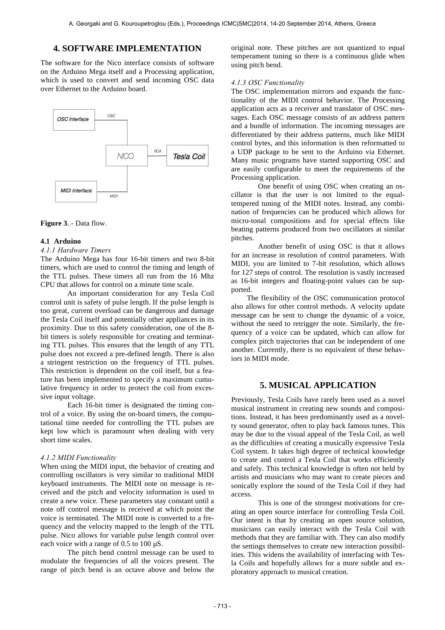# **4. SOFTWARE IMPLEMENTATION**

The software for the Nico interface consists of software on the Arduino Mega itself and a Processing application, which is used to convert and send incoming OSC data over Ethernet to the Arduino board.



**Figure 3**. - Data flow.

## **4.1 Arduino**

## *4.1.1 Hardware Timers*

The Arduino Mega has four 16-bit timers and two 8-bit timers, which are used to control the timing and length of the TTL pulses. These timers all run from the 16 Mhz CPU that allows for control on a minute time scale.

An important consideration for any Tesla Coil control unit is safety of pulse length. If the pulse length is too great, current overload can be dangerous and damage the Tesla Coil itself and potentially other appliances in its proximity. Due to this safety consideration, one of the 8 bit timers is solely responsible for creating and terminating TTL pulses. This ensures that the length of any TTL pulse does not exceed a pre-defined length. There is also a stringent restriction on the frequency of TTL pulses. This restriction is dependent on the coil itself, but a feature has been implemented to specify a maximum cumulative frequency in order to protect the coil from excessive input voltage.

Each 16-bit timer is designated the timing control of a voice. By using the on-board timers, the computational time needed for controlling the TTL pulses are kept low which is paramount when dealing with very short time scales.

#### *4.1.2 MIDI Functionality*

When using the MIDI input, the behavior of creating and controlling oscillators is very similar to traditional MIDI keyboard instruments. The MIDI note on message is received and the pitch and velocity information is used to create a new voice. These parameters stay constant until a note off control message is received at which point the voice is terminated. The MIDI note is converted to a frequency and the velocity mapped to the length of the TTL pulse. Nico allows for variable pulse length control over each voice with a range of 0.5 to 100 µS.

The pitch bend control message can be used to modulate the frequencies of all the voices present. The range of pitch bend is an octave above and below the original note. These pitches are not quantized to equal temperament tuning so there is a continuous glide when using pitch bend.

#### *4.1.3 OSC Functionality*

The OSC implementation mirrors and expands the functionality of the MIDI control behavior. The Processing application acts as a receiver and translator of OSC messages. Each OSC message consists of an address pattern and a bundle of information. The incoming messages are differentiated by their address patterns, much like MIDI control bytes, and this information is then reformatted to a UDP package to be sent to the Arduino via Ethernet. Many music programs have started supporting OSC and are easily configurable to meet the requirements of the Processing application.

One benefit of using OSC when creating an oscillator is that the user is not limited to the equaltempered tuning of the MIDI notes. Instead, any combination of frequencies can be produced which allows for micro-tonal compositions and for special effects like beating patterns produced from two oscillators at similar pitches.

Another benefit of using OSC is that it allows for an increase in resolution of control parameters. With MIDI, you are limited to 7-bit resolution, which allows for 127 steps of control. The resolution is vastly increased as 16-bit integers and floating-point values can be supported.

The flexibility of the OSC communication protocol also allows for other control methods. A velocity update message can be sent to change the dynamic of a voice, without the need to retrigger the note. Similarly, the frequency of a voice can be updated, which can allow for complex pitch trajectories that can be independent of one another. Currently, there is no equivalent of these behaviors in MIDI mode.

# **5. MUSICAL APPLICATION**

Previously, Tesla Coils have rarely been used as a novel musical instrument in creating new sounds and compositions. Instead, it has been predominantly used as a novelty sound generator, often to play back famous tunes. This may be due to the visual appeal of the Tesla Coil, as well as the difficulties of creating a musically expressive Tesla Coil system. It takes high degree of technical knowledge to create and control a Tesla Coil that works efficiently and safely. This technical knowledge is often not held by artists and musicians who may want to create pieces and sonically explore the sound of the Tesla Coil if they had access.

This is one of the strongest motivations for creating an open source interface for controlling Tesla Coil. Our intent is that by creating an open source solution, musicians can easily interact with the Tesla Coil with methods that they are familiar with. They can also modify the settings themselves to create new interaction possibilities. This widens the availability of interfacing with Tesla Coils and hopefully allows for a more subtle and exploratory approach to musical creation.